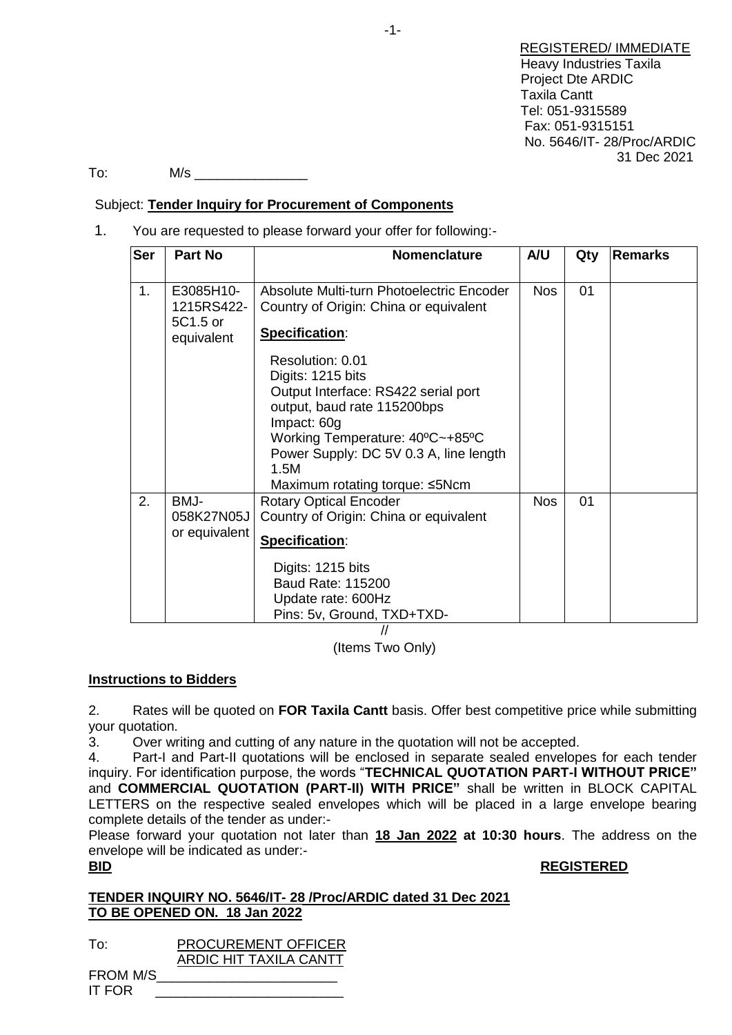REGISTERED/ IMMEDIATE Heavy Industries Taxila Project Dte ARDIC Taxila Cantt Tel: 051-9315589 Fax: 051-9315151 No. 5646/IT- 28/Proc/ARDIC 31 Dec 2021

To: M/s \_\_\_\_\_\_\_\_\_\_\_\_\_\_\_

# Subject: **Tender Inquiry for Procurement of Components**

1. You are requested to please forward your offer for following:-

| <b>Ser</b> | <b>Part No</b>                                    | <b>Nomenclature</b>                                                                                                                                                                                                                               | A/U        | Qty | <b>Remarks</b> |
|------------|---------------------------------------------------|---------------------------------------------------------------------------------------------------------------------------------------------------------------------------------------------------------------------------------------------------|------------|-----|----------------|
| 1.         | E3085H10-<br>1215RS422-<br>5C1.5 or<br>equivalent | Absolute Multi-turn Photoelectric Encoder<br>Country of Origin: China or equivalent<br>Specification:                                                                                                                                             | <b>Nos</b> | 01  |                |
|            |                                                   | Resolution: 0.01<br>Digits: 1215 bits<br>Output Interface: RS422 serial port<br>output, baud rate 115200bps<br>Impact: 60g<br>Working Temperature: 40°C~+85°C<br>Power Supply: DC 5V 0.3 A, line length<br>1.5M<br>Maximum rotating torque: ≤5Ncm |            |     |                |
| 2.         | BMJ-<br>058K27N05J<br>or equivalent               | <b>Rotary Optical Encoder</b><br>Country of Origin: China or equivalent<br>Specification:                                                                                                                                                         | <b>Nos</b> | 01  |                |
|            |                                                   | Digits: 1215 bits<br>Baud Rate: 115200<br>Update rate: 600Hz<br>Pins: 5v, Ground, TXD+TXD-                                                                                                                                                        |            |     |                |

// (Items Two Only)

**Instructions to Bidders**

2. Rates will be quoted on **FOR Taxila Cantt** basis. Offer best competitive price while submitting your quotation.

3. Over writing and cutting of any nature in the quotation will not be accepted.

4. Part-I and Part-II quotations will be enclosed in separate sealed envelopes for each tender inquiry. For identification purpose, the words "**TECHNICAL QUOTATION PART-I WITHOUT PRICE"** and **COMMERCIAL QUOTATION (PART-II) WITH PRICE"** shall be written in BLOCK CAPITAL LETTERS on the respective sealed envelopes which will be placed in a large envelope bearing complete details of the tender as under:-

Please forward your quotation not later than **18 Jan 2022 at 10:30 hours**. The address on the envelope will be indicated as under:-

# **BID REGISTERED**

# **TENDER INQUIRY NO. 5646/IT- 28 /Proc/ARDIC dated 31 Dec 2021 TO BE OPENED ON. 18 Jan 2022**

| To:             | <b>PROCUREMENT OFFICER</b> |
|-----------------|----------------------------|
|                 | ARDIC HIT TAXILA CANTT     |
| <b>FROM M/S</b> |                            |
| IT FOR          |                            |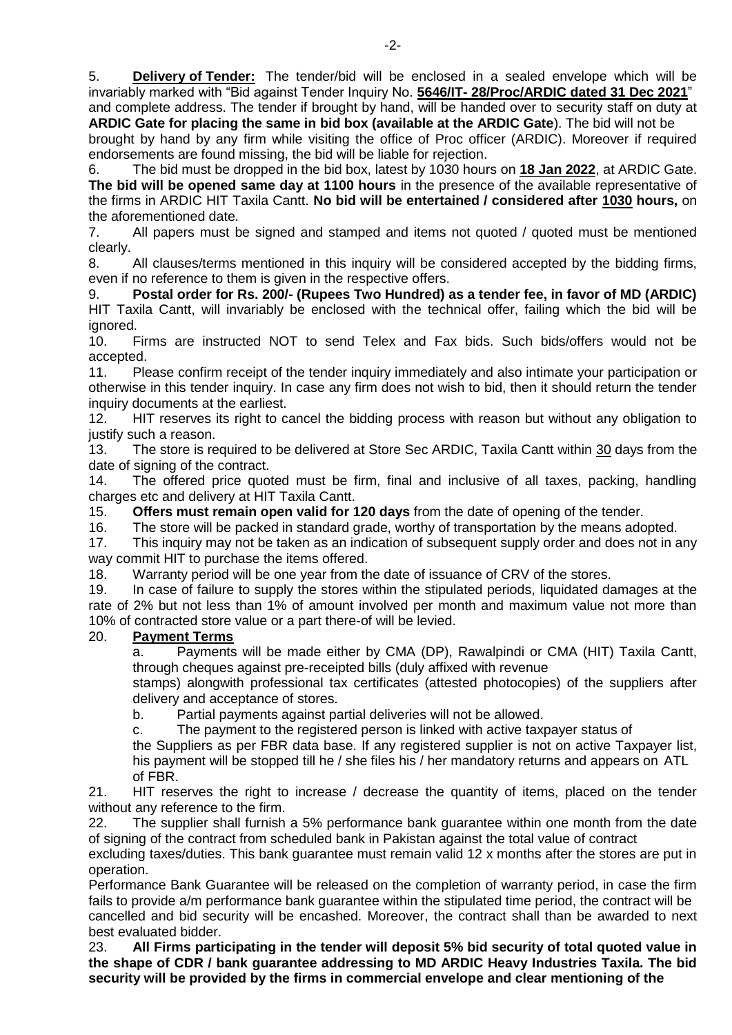5. **Delivery of Tender:** The tender/bid will be enclosed in a sealed envelope which will be invariably marked with "Bid against Tender Inquiry No. **5646/IT- 28/Proc/ARDIC dated 31 Dec 2021**" and complete address. The tender if brought by hand, will be handed over to security staff on duty at

**ARDIC Gate for placing the same in bid box (available at the ARDIC Gate**). The bid will not be brought by hand by any firm while visiting the office of Proc officer (ARDIC). Moreover if required endorsements are found missing, the bid will be liable for rejection.

6. The bid must be dropped in the bid box, latest by 1030 hours on **18 Jan 2022**, at ARDIC Gate. **The bid will be opened same day at 1100 hours** in the presence of the available representative of the firms in ARDIC HIT Taxila Cantt. **No bid will be entertained / considered after 1030 hours,** on the aforementioned date.

7. All papers must be signed and stamped and items not quoted / quoted must be mentioned clearly.

8. All clauses/terms mentioned in this inquiry will be considered accepted by the bidding firms, even if no reference to them is given in the respective offers.

9. **Postal order for Rs. 200/- (Rupees Two Hundred) as a tender fee, in favor of MD (ARDIC)** HIT Taxila Cantt, will invariably be enclosed with the technical offer, failing which the bid will be ignored.

10. Firms are instructed NOT to send Telex and Fax bids. Such bids/offers would not be accepted.

11. Please confirm receipt of the tender inquiry immediately and also intimate your participation or otherwise in this tender inquiry. In case any firm does not wish to bid, then it should return the tender inquiry documents at the earliest.

12. HIT reserves its right to cancel the bidding process with reason but without any obligation to justify such a reason.

13. The store is required to be delivered at Store Sec ARDIC, Taxila Cantt within 30 days from the date of signing of the contract.

14. The offered price quoted must be firm, final and inclusive of all taxes, packing, handling charges etc and delivery at HIT Taxila Cantt.

15. **Offers must remain open valid for 120 days** from the date of opening of the tender.

16. The store will be packed in standard grade, worthy of transportation by the means adopted.

17. This inquiry may not be taken as an indication of subsequent supply order and does not in any way commit HIT to purchase the items offered.

18. Warranty period will be one year from the date of issuance of CRV of the stores.

19. In case of failure to supply the stores within the stipulated periods, liquidated damages at the rate of 2% but not less than 1% of amount involved per month and maximum value not more than 10% of contracted store value or a part there-of will be levied.

# 20. **Payment Terms**

a. Payments will be made either by CMA (DP), Rawalpindi or CMA (HIT) Taxila Cantt, through cheques against pre-receipted bills (duly affixed with revenue

stamps) alongwith professional tax certificates (attested photocopies) of the suppliers after delivery and acceptance of stores.

b. Partial payments against partial deliveries will not be allowed.

c. The payment to the registered person is linked with active taxpayer status of

the Suppliers as per FBR data base. If any registered supplier is not on active Taxpayer list, his payment will be stopped till he / she files his / her mandatory returns and appears on ATL of FBR.

21. HIT reserves the right to increase / decrease the quantity of items, placed on the tender without any reference to the firm.

22. The supplier shall furnish a 5% performance bank guarantee within one month from the date of signing of the contract from scheduled bank in Pakistan against the total value of contract

excluding taxes/duties. This bank guarantee must remain valid 12 x months after the stores are put in operation.

Performance Bank Guarantee will be released on the completion of warranty period, in case the firm fails to provide a/m performance bank guarantee within the stipulated time period, the contract will be cancelled and bid security will be encashed. Moreover, the contract shall than be awarded to next best evaluated bidder.

23. **All Firms participating in the tender will deposit 5% bid security of total quoted value in the shape of CDR / bank guarantee addressing to MD ARDIC Heavy Industries Taxila. The bid security will be provided by the firms in commercial envelope and clear mentioning of the**